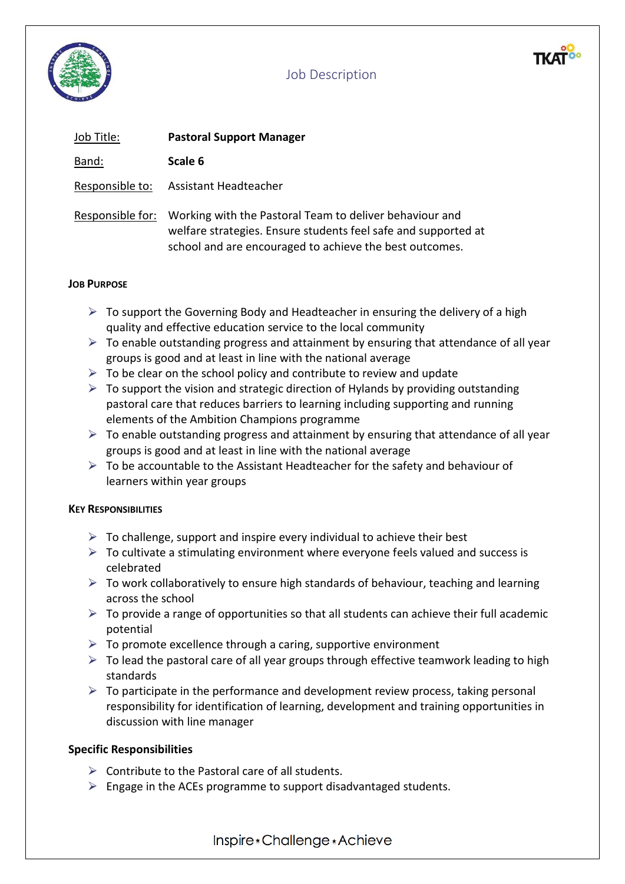

| Job Title:       | <b>Pastoral Support Manager</b>                                                                                                                                                      |
|------------------|--------------------------------------------------------------------------------------------------------------------------------------------------------------------------------------|
| Band:            | Scale 6                                                                                                                                                                              |
| Responsible to:  | Assistant Headteacher                                                                                                                                                                |
| Responsible for: | Working with the Pastoral Team to deliver behaviour and<br>welfare strategies. Ensure students feel safe and supported at<br>school and are encouraged to achieve the best outcomes. |

#### **JOB PURPOSE**

- $\triangleright$  To support the Governing Body and Headteacher in ensuring the delivery of a high quality and effective education service to the local community
- $\triangleright$  To enable outstanding progress and attainment by ensuring that attendance of all year groups is good and at least in line with the national average
- $\triangleright$  To be clear on the school policy and contribute to review and update
- $\triangleright$  To support the vision and strategic direction of Hylands by providing outstanding pastoral care that reduces barriers to learning including supporting and running elements of the Ambition Champions programme
- $\triangleright$  To enable outstanding progress and attainment by ensuring that attendance of all year groups is good and at least in line with the national average
- $\triangleright$  To be accountable to the Assistant Headteacher for the safety and behaviour of learners within year groups

### **KEY RESPONSIBILITIES**

- $\triangleright$  To challenge, support and inspire every individual to achieve their best
- $\triangleright$  To cultivate a stimulating environment where everyone feels valued and success is celebrated
- $\triangleright$  To work collaboratively to ensure high standards of behaviour, teaching and learning across the school
- $\triangleright$  To provide a range of opportunities so that all students can achieve their full academic potential
- $\triangleright$  To promote excellence through a caring, supportive environment
- $\triangleright$  To lead the pastoral care of all year groups through effective teamwork leading to high standards
- $\triangleright$  To participate in the performance and development review process, taking personal responsibility for identification of learning, development and training opportunities in discussion with line manager

### **Specific Responsibilities**

- $\triangleright$  Contribute to the Pastoral care of all students.
- $\triangleright$  Engage in the ACEs programme to support disadvantaged students.

Inspire \* Challenge \* Achieve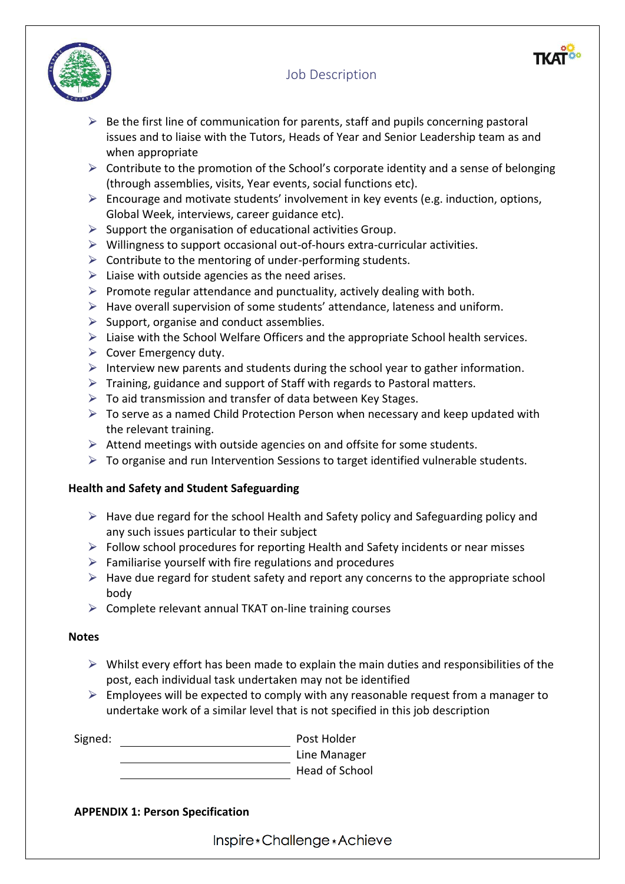

- $\triangleright$  Be the first line of communication for parents, staff and pupils concerning pastoral issues and to liaise with the Tutors, Heads of Year and Senior Leadership team as and when appropriate
- $\triangleright$  Contribute to the promotion of the School's corporate identity and a sense of belonging (through assemblies, visits, Year events, social functions etc).
- $\triangleright$  Encourage and motivate students' involvement in key events (e.g. induction, options, Global Week, interviews, career guidance etc).
- $\triangleright$  Support the organisation of educational activities Group.
- $\triangleright$  Willingness to support occasional out-of-hours extra-curricular activities.
- $\triangleright$  Contribute to the mentoring of under-performing students.
- $\triangleright$  Liaise with outside agencies as the need arises.
- $\triangleright$  Promote regular attendance and punctuality, actively dealing with both.
- $\triangleright$  Have overall supervision of some students' attendance, lateness and uniform.
- $\triangleright$  Support, organise and conduct assemblies.
- $\triangleright$  Liaise with the School Welfare Officers and the appropriate School health services.
- $\triangleright$  Cover Emergency duty.
- $\triangleright$  Interview new parents and students during the school year to gather information.
- $\triangleright$  Training, guidance and support of Staff with regards to Pastoral matters.
- $\triangleright$  To aid transmission and transfer of data between Key Stages.
- $\triangleright$  To serve as a named Child Protection Person when necessary and keep updated with the relevant training.
- $\triangleright$  Attend meetings with outside agencies on and offsite for some students.
- $\triangleright$  To organise and run Intervention Sessions to target identified vulnerable students.

### **Health and Safety and Student Safeguarding**

- $\triangleright$  Have due regard for the school Health and Safety policy and Safeguarding policy and any such issues particular to their subject
- $\triangleright$  Follow school procedures for reporting Health and Safety incidents or near misses
- $\triangleright$  Familiarise yourself with fire regulations and procedures
- $\triangleright$  Have due regard for student safety and report any concerns to the appropriate school body
- $\triangleright$  Complete relevant annual TKAT on-line training courses

### **Notes**

- $\triangleright$  Whilst every effort has been made to explain the main duties and responsibilities of the post, each individual task undertaken may not be identified
- $\triangleright$  Employees will be expected to comply with any reasonable request from a manager to undertake work of a similar level that is not specified in this job description

| Post Holder    |
|----------------|
| Line Manager   |
| Head of School |
|                |

### **APPENDIX 1: Person Specification**

Inspire \* Challenge \* Achieve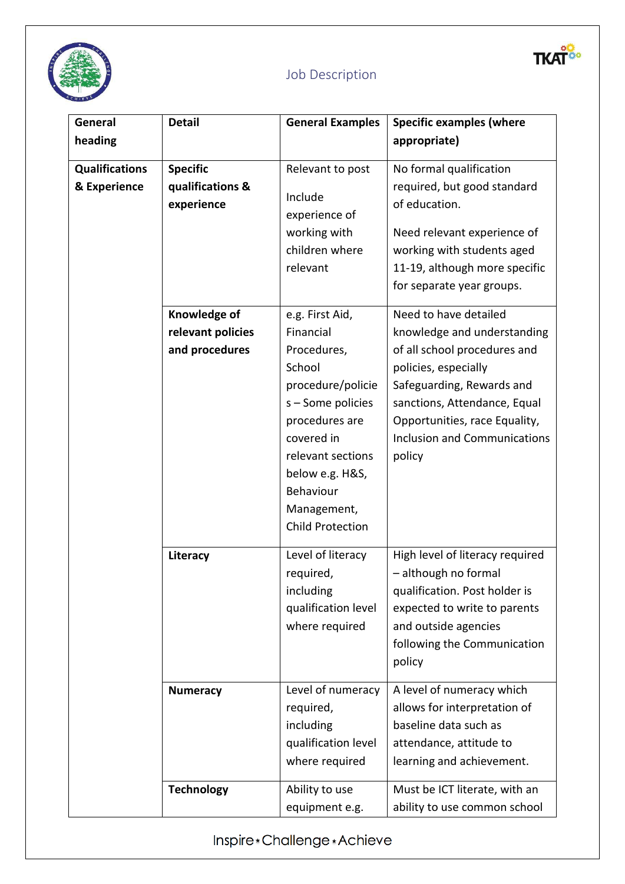

yo.

**TKA** 

| General               | <b>Detail</b>                                       | <b>General Examples</b>                                                                                                                                                                                                        | <b>Specific examples (where</b>                                                                                                                                                                                                                             |
|-----------------------|-----------------------------------------------------|--------------------------------------------------------------------------------------------------------------------------------------------------------------------------------------------------------------------------------|-------------------------------------------------------------------------------------------------------------------------------------------------------------------------------------------------------------------------------------------------------------|
| heading               |                                                     |                                                                                                                                                                                                                                | appropriate)                                                                                                                                                                                                                                                |
| <b>Qualifications</b> | <b>Specific</b>                                     | Relevant to post                                                                                                                                                                                                               | No formal qualification                                                                                                                                                                                                                                     |
| & Experience          | qualifications &<br>experience                      | Include<br>experience of<br>working with<br>children where<br>relevant                                                                                                                                                         | required, but good standard<br>of education.<br>Need relevant experience of<br>working with students aged<br>11-19, although more specific<br>for separate year groups.                                                                                     |
|                       | Knowledge of<br>relevant policies<br>and procedures | e.g. First Aid,<br>Financial<br>Procedures,<br>School<br>procedure/policie<br>s - Some policies<br>procedures are<br>covered in<br>relevant sections<br>below e.g. H&S,<br>Behaviour<br>Management,<br><b>Child Protection</b> | Need to have detailed<br>knowledge and understanding<br>of all school procedures and<br>policies, especially<br>Safeguarding, Rewards and<br>sanctions, Attendance, Equal<br>Opportunities, race Equality,<br><b>Inclusion and Communications</b><br>policy |
|                       | Literacy                                            | Level of literacy<br>required,<br>including<br>qualification level<br>where required                                                                                                                                           | High level of literacy required<br>- although no formal<br>qualification. Post holder is<br>expected to write to parents<br>and outside agencies<br>following the Communication<br>policy                                                                   |
|                       | <b>Numeracy</b>                                     | Level of numeracy<br>required,<br>including<br>qualification level<br>where required                                                                                                                                           | A level of numeracy which<br>allows for interpretation of<br>baseline data such as<br>attendance, attitude to<br>learning and achievement.                                                                                                                  |
|                       | <b>Technology</b>                                   | Ability to use<br>equipment e.g.                                                                                                                                                                                               | Must be ICT literate, with an<br>ability to use common school                                                                                                                                                                                               |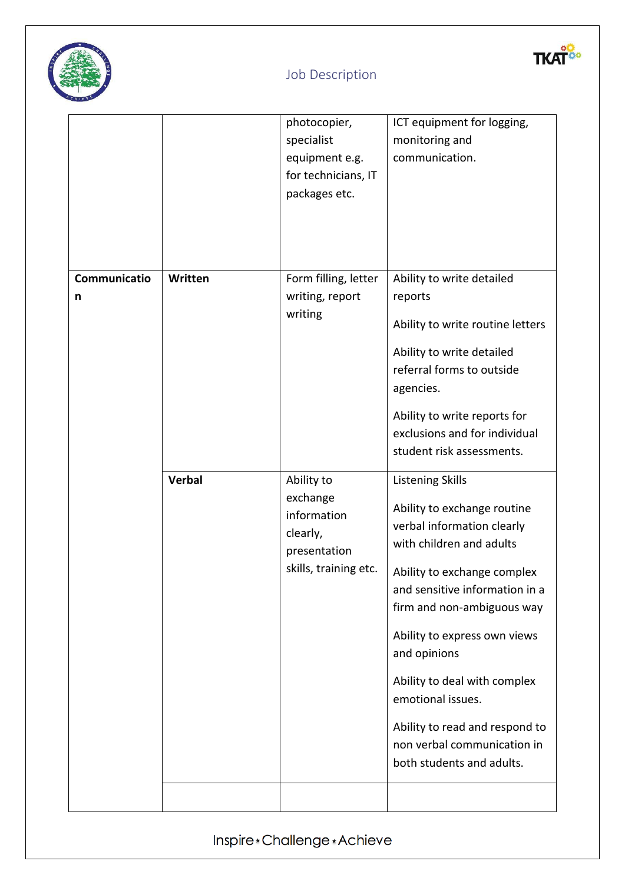



|                   |         | photocopier,<br>specialist<br>equipment e.g.<br>for technicians, IT<br>packages etc.       | ICT equipment for logging,<br>monitoring and<br>communication.                                                                                                                                                                                                                                                                                                                                                     |
|-------------------|---------|--------------------------------------------------------------------------------------------|--------------------------------------------------------------------------------------------------------------------------------------------------------------------------------------------------------------------------------------------------------------------------------------------------------------------------------------------------------------------------------------------------------------------|
| Communicatio<br>n | Written | Form filling, letter<br>writing, report<br>writing                                         | Ability to write detailed<br>reports<br>Ability to write routine letters<br>Ability to write detailed<br>referral forms to outside<br>agencies.<br>Ability to write reports for<br>exclusions and for individual<br>student risk assessments.                                                                                                                                                                      |
|                   | Verbal  | Ability to<br>exchange<br>information<br>clearly,<br>presentation<br>skills, training etc. | <b>Listening Skills</b><br>Ability to exchange routine<br>verbal information clearly<br>with children and adults<br>Ability to exchange complex<br>and sensitive information in a<br>firm and non-ambiguous way<br>Ability to express own views<br>and opinions<br>Ability to deal with complex<br>emotional issues.<br>Ability to read and respond to<br>non verbal communication in<br>both students and adults. |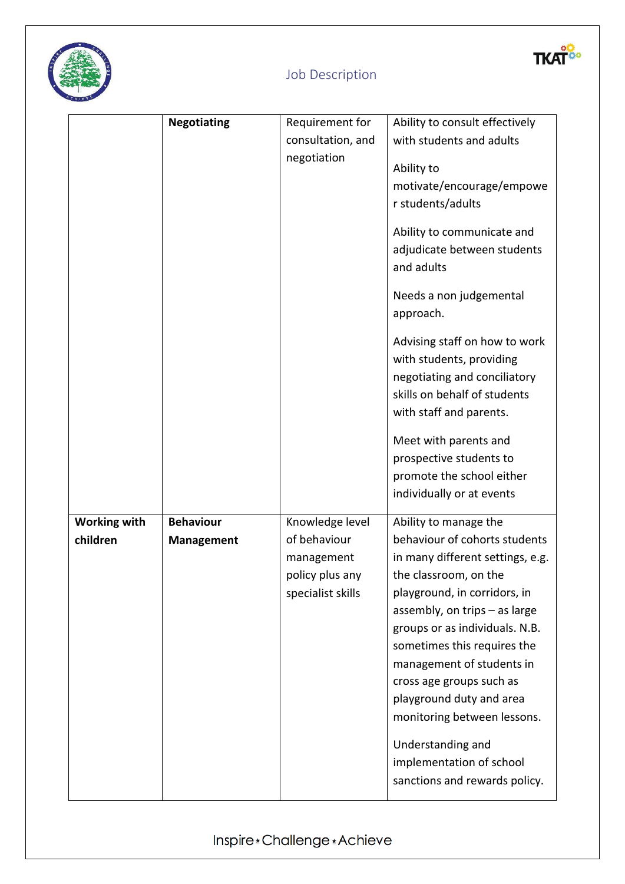



|                                 | <b>Negotiating</b> | Requirement for   | Ability to consult effectively                                                                                                                       |
|---------------------------------|--------------------|-------------------|------------------------------------------------------------------------------------------------------------------------------------------------------|
|                                 |                    | consultation, and | with students and adults                                                                                                                             |
|                                 |                    | negotiation       | Ability to                                                                                                                                           |
|                                 |                    |                   | motivate/encourage/empowe                                                                                                                            |
|                                 |                    |                   | r students/adults                                                                                                                                    |
|                                 |                    |                   | Ability to communicate and<br>adjudicate between students<br>and adults                                                                              |
|                                 |                    |                   | Needs a non judgemental<br>approach.                                                                                                                 |
|                                 |                    |                   | Advising staff on how to work<br>with students, providing<br>negotiating and conciliatory<br>skills on behalf of students<br>with staff and parents. |
|                                 |                    |                   | Meet with parents and                                                                                                                                |
|                                 |                    |                   | prospective students to                                                                                                                              |
|                                 |                    |                   |                                                                                                                                                      |
|                                 |                    |                   | promote the school either                                                                                                                            |
|                                 |                    |                   | individually or at events                                                                                                                            |
|                                 | <b>Behaviour</b>   | Knowledge level   |                                                                                                                                                      |
| <b>Working with</b><br>children | <b>Management</b>  | of behaviour      | Ability to manage the<br>behaviour of cohorts students                                                                                               |
|                                 |                    | management        | in many different settings, e.g.                                                                                                                     |
|                                 |                    | policy plus any   | the classroom, on the                                                                                                                                |
|                                 |                    | specialist skills | playground, in corridors, in                                                                                                                         |
|                                 |                    |                   | assembly, on trips - as large                                                                                                                        |
|                                 |                    |                   | groups or as individuals. N.B.                                                                                                                       |
|                                 |                    |                   | sometimes this requires the                                                                                                                          |
|                                 |                    |                   | management of students in                                                                                                                            |
|                                 |                    |                   | cross age groups such as                                                                                                                             |
|                                 |                    |                   | playground duty and area                                                                                                                             |
|                                 |                    |                   | monitoring between lessons.                                                                                                                          |
|                                 |                    |                   | Understanding and                                                                                                                                    |
|                                 |                    |                   | implementation of school                                                                                                                             |
|                                 |                    |                   | sanctions and rewards policy.                                                                                                                        |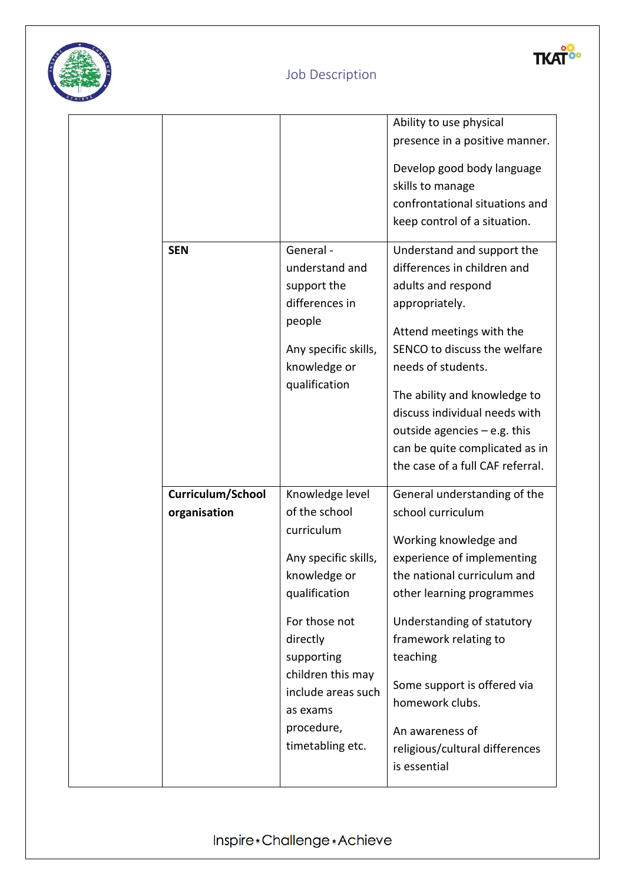



|                   |                      | Ability to use physical          |
|-------------------|----------------------|----------------------------------|
|                   |                      | presence in a positive manner.   |
|                   |                      | Develop good body language       |
|                   |                      | skills to manage                 |
|                   |                      | confrontational situations and   |
|                   |                      |                                  |
|                   |                      | keep control of a situation.     |
| <b>SEN</b>        | General -            | Understand and support the       |
|                   | understand and       | differences in children and      |
|                   | support the          | adults and respond               |
|                   | differences in       | appropriately.                   |
|                   | people               |                                  |
|                   |                      | Attend meetings with the         |
|                   | Any specific skills, | SENCO to discuss the welfare     |
|                   | knowledge or         | needs of students.               |
|                   | qualification        | The ability and knowledge to     |
|                   |                      | discuss individual needs with    |
|                   |                      | outside agencies $-$ e.g. this   |
|                   |                      | can be quite complicated as in   |
|                   |                      | the case of a full CAF referral. |
|                   |                      |                                  |
| Curriculum/School | Knowledge level      | General understanding of the     |
| organisation      | of the school        | school curriculum                |
|                   | curriculum           | Working knowledge and            |
|                   | Any specific skills, | experience of implementing       |
|                   | knowledge or         | the national curriculum and      |
|                   | qualification        | other learning programmes        |
|                   |                      |                                  |
|                   | For those not        | Understanding of statutory       |
|                   | directly             | framework relating to            |
|                   | supporting           | teaching                         |
|                   | children this may    |                                  |
|                   | include areas such   | Some support is offered via      |
|                   | as exams             | homework clubs.                  |
|                   | procedure,           | An awareness of                  |
|                   | timetabling etc.     | religious/cultural differences   |
|                   |                      | is essential                     |
|                   |                      |                                  |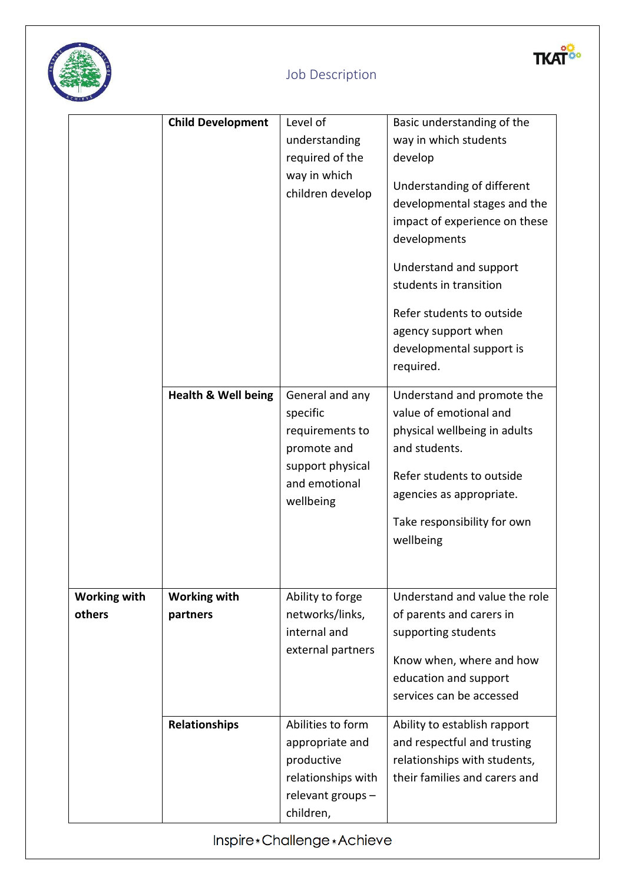



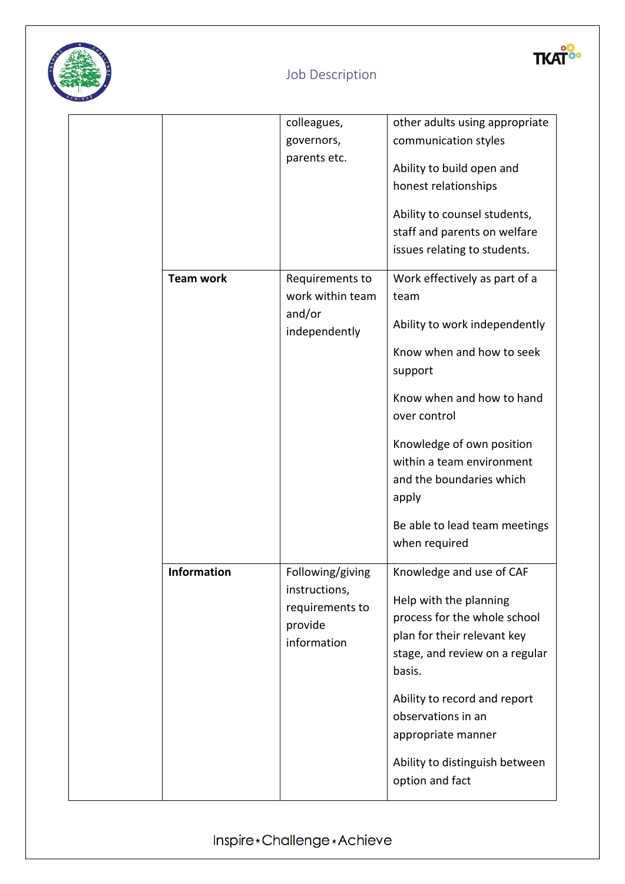



|                    |         | colleagues,                       | other adults using appropriate |
|--------------------|---------|-----------------------------------|--------------------------------|
|                    |         | governors,                        | communication styles           |
|                    |         | parents etc.                      | Ability to build open and      |
|                    |         |                                   | honest relationships           |
|                    |         |                                   |                                |
|                    |         |                                   | Ability to counsel students,   |
|                    |         |                                   | staff and parents on welfare   |
|                    |         |                                   | issues relating to students.   |
| <b>Team work</b>   |         | Requirements to                   | Work effectively as part of a  |
|                    |         | work within team                  | team                           |
|                    | and/or  |                                   |                                |
|                    |         | independently                     | Ability to work independently  |
|                    |         |                                   | Know when and how to seek      |
|                    |         |                                   | support                        |
|                    |         |                                   | Know when and how to hand      |
|                    |         |                                   | over control                   |
|                    |         |                                   |                                |
|                    |         |                                   | Knowledge of own position      |
|                    |         |                                   | within a team environment      |
|                    |         |                                   | and the boundaries which       |
|                    |         |                                   | apply                          |
|                    |         |                                   | Be able to lead team meetings  |
|                    |         |                                   | when required                  |
|                    |         |                                   |                                |
| <b>Information</b> |         | Following/giving<br>instructions, | Knowledge and use of CAF       |
|                    |         | requirements to                   | Help with the planning         |
|                    | provide |                                   | process for the whole school   |
|                    |         | information                       | plan for their relevant key    |
|                    |         |                                   | stage, and review on a regular |
|                    |         |                                   | basis.                         |
|                    |         |                                   | Ability to record and report   |
|                    |         |                                   | observations in an             |
|                    |         |                                   | appropriate manner             |
|                    |         |                                   |                                |
|                    |         |                                   | Ability to distinguish between |
|                    |         |                                   | option and fact                |
|                    |         |                                   |                                |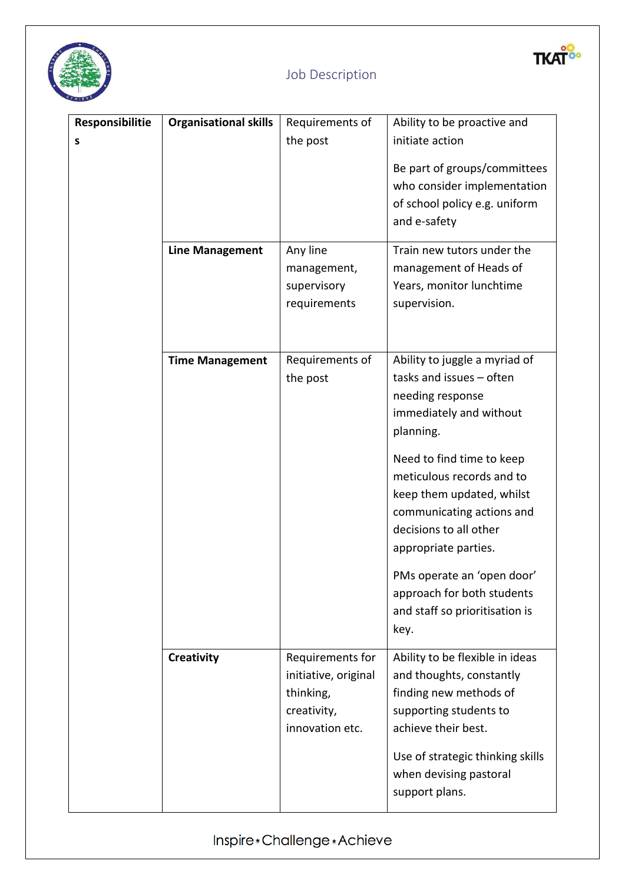

yo.

**TKA** 

| Responsibilitie | <b>Organisational skills</b> | Requirements of                                                                         | Ability to be proactive and                                                                                                                                                                                                                                                                                                                                                               |
|-----------------|------------------------------|-----------------------------------------------------------------------------------------|-------------------------------------------------------------------------------------------------------------------------------------------------------------------------------------------------------------------------------------------------------------------------------------------------------------------------------------------------------------------------------------------|
| S               |                              | the post                                                                                | initiate action<br>Be part of groups/committees<br>who consider implementation<br>of school policy e.g. uniform<br>and e-safety                                                                                                                                                                                                                                                           |
|                 | <b>Line Management</b>       | Any line<br>management,<br>supervisory<br>requirements                                  | Train new tutors under the<br>management of Heads of<br>Years, monitor lunchtime<br>supervision.                                                                                                                                                                                                                                                                                          |
|                 | <b>Time Management</b>       | Requirements of<br>the post                                                             | Ability to juggle a myriad of<br>tasks and issues - often<br>needing response<br>immediately and without<br>planning.<br>Need to find time to keep<br>meticulous records and to<br>keep them updated, whilst<br>communicating actions and<br>decisions to all other<br>appropriate parties.<br>PMs operate an 'open door'<br>approach for both students<br>and staff so prioritisation is |
|                 | <b>Creativity</b>            | Requirements for<br>initiative, original<br>thinking,<br>creativity,<br>innovation etc. | key.<br>Ability to be flexible in ideas<br>and thoughts, constantly<br>finding new methods of<br>supporting students to<br>achieve their best.<br>Use of strategic thinking skills<br>when devising pastoral<br>support plans.                                                                                                                                                            |